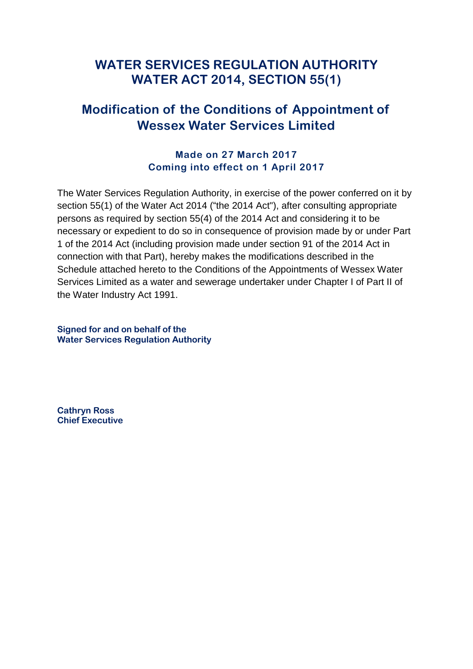# **WATER SERVICES REGULATION AUTHORITY WATER ACT 2014, SECTION 55(1)**

# **Modification of the Conditions of Appointment of Wessex Water Services Limited**

## **Made on 27 March 2017 Coming into effect on 1 April 2017**

The Water Services Regulation Authority, in exercise of the power conferred on it by section 55(1) of the Water Act 2014 ("the 2014 Act"), after consulting appropriate persons as required by section 55(4) of the 2014 Act and considering it to be necessary or expedient to do so in consequence of provision made by or under Part 1 of the 2014 Act (including provision made under section 91 of the 2014 Act in connection with that Part), hereby makes the modifications described in the Schedule attached hereto to the Conditions of the Appointments of Wessex Water Services Limited as a water and sewerage undertaker under Chapter I of Part II of the Water Industry Act 1991.

**Signed for and on behalf of the Water Services Regulation Authority** 

**Cathryn Ross Chief Executive**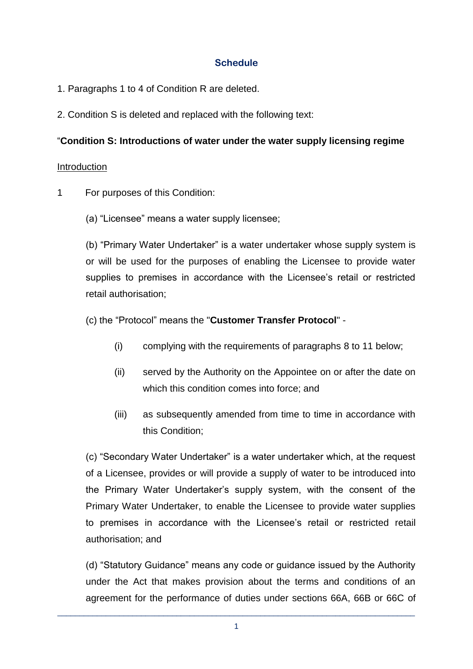## **Schedule**

- 1. Paragraphs 1 to 4 of Condition R are deleted.
- 2. Condition S is deleted and replaced with the following text:

### "**Condition S: Introductions of water under the water supply licensing regime**

#### **Introduction**

- 1 For purposes of this Condition:
	- (a) "Licensee" means a water supply licensee;

(b) "Primary Water Undertaker" is a water undertaker whose supply system is or will be used for the purposes of enabling the Licensee to provide water supplies to premises in accordance with the Licensee's retail or restricted retail authorisation;

(c) the "Protocol" means the "**Customer Transfer Protocol**" -

- (i) complying with the requirements of paragraphs [8](#page-4-0) to [11](#page-6-0) below;
- (ii) served by the Authority on the Appointee on or after the date on which this condition comes into force; and
- (iii) as subsequently amended from time to time in accordance with this Condition;

(c) "Secondary Water Undertaker" is a water undertaker which, at the request of a Licensee, provides or will provide a supply of water to be introduced into the Primary Water Undertaker's supply system, with the consent of the Primary Water Undertaker, to enable the Licensee to provide water supplies to premises in accordance with the Licensee's retail or restricted retail authorisation; and

(d) "Statutory Guidance" means any code or guidance issued by the Authority under the Act that makes provision about the terms and conditions of an agreement for the performance of duties under sections 66A, 66B or 66C of

\_\_\_\_\_\_\_\_\_\_\_\_\_\_\_\_\_\_\_\_\_\_\_\_\_\_\_\_\_\_\_\_\_\_\_\_\_\_\_\_\_\_\_\_\_\_\_\_\_\_\_\_\_\_\_\_\_\_\_\_\_\_\_\_\_\_\_\_\_\_\_\_\_\_\_\_\_\_\_\_\_ 1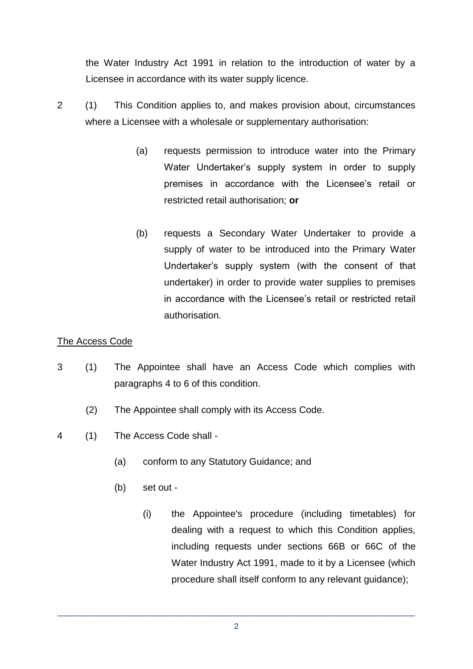the Water Industry Act 1991 in relation to the introduction of water by a Licensee in accordance with its water supply licence.

- 2 (1) This Condition applies to, and makes provision about, circumstances where a Licensee with a wholesale or supplementary authorisation:
	- (a) requests permission to introduce water into the Primary Water Undertaker's supply system in order to supply premises in accordance with the Licensee's retail or restricted retail authorisation; **or**
	- (b) requests a Secondary Water Undertaker to provide a supply of water to be introduced into the Primary Water Undertaker's supply system (with the consent of that undertaker) in order to provide water supplies to premises in accordance with the Licensee's retail or restricted retail authorisation.

### The Access Code

- 3 (1) The Appointee shall have an Access Code which complies with paragraphs 4 to 6 of this condition.
	- (2) The Appointee shall comply with its Access Code.
- 4 (1) The Access Code shall
	- (a) conform to any Statutory Guidance; and
	- (b) set out
		- (i) the Appointee's procedure (including timetables) for dealing with a request to which this Condition applies, including requests under sections 66B or 66C of the Water Industry Act 1991, made to it by a Licensee (which procedure shall itself conform to any relevant guidance);

\_\_\_\_\_\_\_\_\_\_\_\_\_\_\_\_\_\_\_\_\_\_\_\_\_\_\_\_\_\_\_\_\_\_\_\_\_\_\_\_\_\_\_\_\_\_\_\_\_\_\_\_\_\_\_\_\_\_\_\_\_\_\_\_\_\_\_\_\_\_\_\_\_\_\_\_\_\_\_\_\_ 2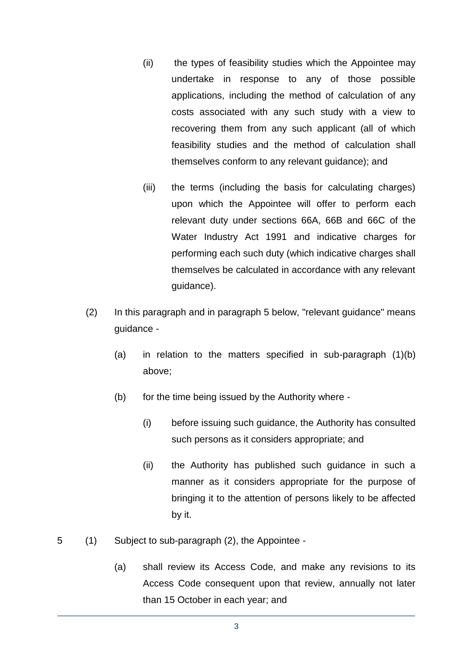- (ii) the types of feasibility studies which the Appointee may undertake in response to any of those possible applications, including the method of calculation of any costs associated with any such study with a view to recovering them from any such applicant (all of which feasibility studies and the method of calculation shall themselves conform to any relevant guidance); and
- (iii) the terms (including the basis for calculating charges) upon which the Appointee will offer to perform each relevant duty under sections 66A, 66B and 66C of the Water Industry Act 1991 and indicative charges for performing each such duty (which indicative charges shall themselves be calculated in accordance with any relevant guidance).
- (2) In this paragraph and in paragraph 5 below, "relevant guidance" means guidance -
	- (a) in relation to the matters specified in sub-paragraph (1)(b) above;
	- (b) for the time being issued by the Authority where
		- (i) before issuing such guidance, the Authority has consulted such persons as it considers appropriate; and
		- (ii) the Authority has published such guidance in such a manner as it considers appropriate for the purpose of bringing it to the attention of persons likely to be affected by it.
- 5 (1) Subject to sub-paragraph (2), the Appointee
	- (a) shall review its Access Code, and make any revisions to its Access Code consequent upon that review, annually not later than 15 October in each year; and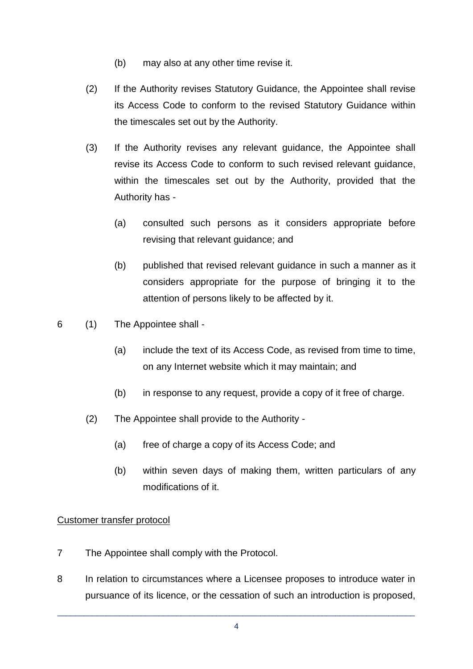- (b) may also at any other time revise it.
- (2) If the Authority revises Statutory Guidance, the Appointee shall revise its Access Code to conform to the revised Statutory Guidance within the timescales set out by the Authority.
- (3) If the Authority revises any relevant guidance, the Appointee shall revise its Access Code to conform to such revised relevant guidance, within the timescales set out by the Authority, provided that the Authority has -
	- (a) consulted such persons as it considers appropriate before revising that relevant guidance; and
	- (b) published that revised relevant guidance in such a manner as it considers appropriate for the purpose of bringing it to the attention of persons likely to be affected by it.
- 6 (1) The Appointee shall
	- (a) include the text of its Access Code, as revised from time to time, on any Internet website which it may maintain; and
	- (b) in response to any request, provide a copy of it free of charge.
	- (2) The Appointee shall provide to the Authority
		- (a) free of charge a copy of its Access Code; and
		- (b) within seven days of making them, written particulars of any modifications of it.

#### Customer transfer protocol

- 7 The Appointee shall comply with the Protocol.
- <span id="page-4-0"></span>8 In relation to circumstances where a Licensee proposes to introduce water in pursuance of its licence, or the cessation of such an introduction is proposed,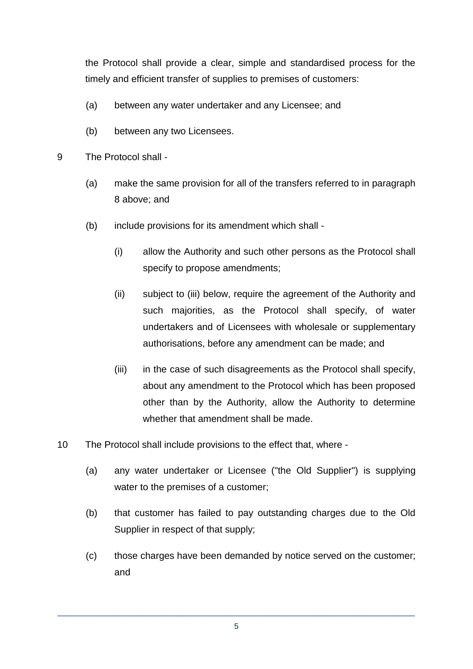the Protocol shall provide a clear, simple and standardised process for the timely and efficient transfer of supplies to premises of customers:

- (a) between any water undertaker and any Licensee; and
- (b) between any two Licensees.
- 9 The Protocol shall
	- (a) make the same provision for all of the transfers referred to in paragraph 8 above; and
	- (b) include provisions for its amendment which shall
		- (i) allow the Authority and such other persons as the Protocol shall specify to propose amendments;
		- (ii) subject to (iii) below, require the agreement of the Authority and such majorities, as the Protocol shall specify, of water undertakers and of Licensees with wholesale or supplementary authorisations, before any amendment can be made; and
		- (iii) in the case of such disagreements as the Protocol shall specify, about any amendment to the Protocol which has been proposed other than by the Authority, allow the Authority to determine whether that amendment shall be made.
- 10 The Protocol shall include provisions to the effect that, where
	- (a) any water undertaker or Licensee ("the Old Supplier") is supplying water to the premises of a customer;
	- (b) that customer has failed to pay outstanding charges due to the Old Supplier in respect of that supply;
	- (c) those charges have been demanded by notice served on the customer; and